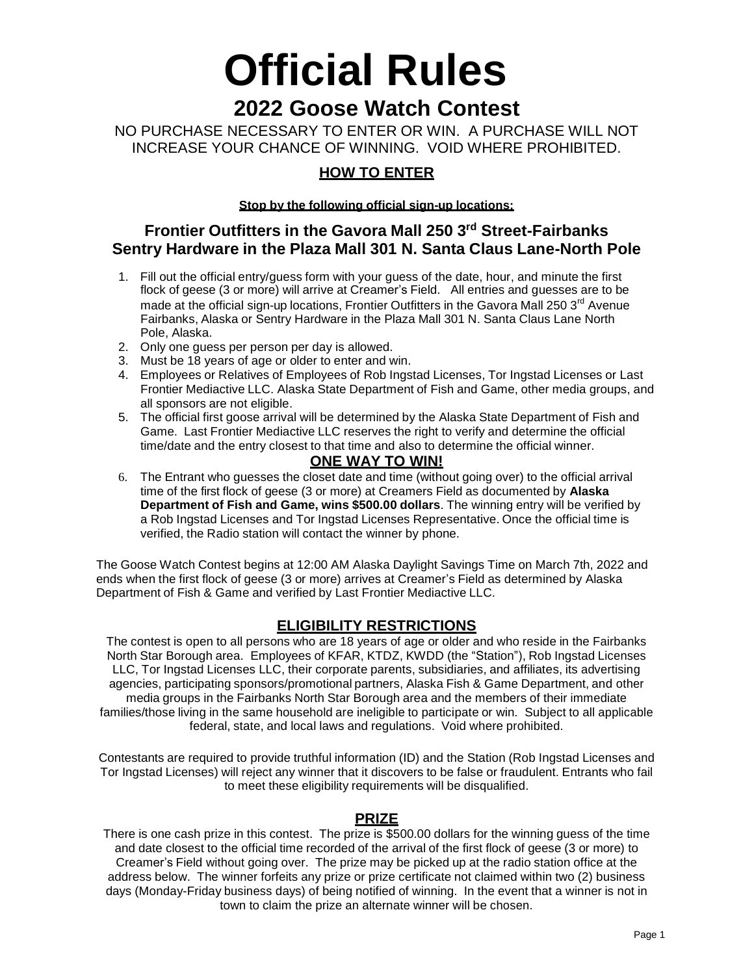# **Official Rules 2022 Goose Watch Contest**

## NO PURCHASE NECESSARY TO ENTER OR WIN. A PURCHASE WILL NOT INCREASE YOUR CHANCE OF WINNING. VOID WHERE PROHIBITED.

# **HOW TO ENTER**

**Stop by the following official sign-up locations:**

## **Frontier Outfitters in the Gavora Mall 250 3 rd Street-Fairbanks Sentry Hardware in the Plaza Mall 301 N. Santa Claus Lane-North Pole**

- 1. Fill out the official entry/guess form with your guess of the date, hour, and minute the first flock of geese (3 or more) will arrive at Creamer's Field. All entries and guesses are to be made at the official sign-up locations, Frontier Outfitters in the Gavora Mall 250 3<sup>rd</sup> Avenue Fairbanks, Alaska or Sentry Hardware in the Plaza Mall 301 N. Santa Claus Lane North Pole, Alaska.
- 2. Only one guess per person per day is allowed.
- 3. Must be 18 years of age or older to enter and win.
- 4. Employees or Relatives of Employees of Rob Ingstad Licenses, Tor Ingstad Licenses or Last Frontier Mediactive LLC. Alaska State Department of Fish and Game, other media groups, and all sponsors are not eligible.
- 5. The official first goose arrival will be determined by the Alaska State Department of Fish and Game. Last Frontier Mediactive LLC reserves the right to verify and determine the official time/date and the entry closest to that time and also to determine the official winner.

#### **ONE WAY TO WIN!**

6. The Entrant who guesses the closet date and time (without going over) to the official arrival time of the first flock of geese (3 or more) at Creamers Field as documented by **Alaska Department of Fish and Game, wins \$500.00 dollars**. The winning entry will be verified by a Rob Ingstad Licenses and Tor Ingstad Licenses Representative. Once the official time is verified, the Radio station will contact the winner by phone.

The Goose Watch Contest begins at 12:00 AM Alaska Daylight Savings Time on March 7th, 2022 and ends when the first flock of geese (3 or more) arrives at Creamer's Field as determined by Alaska Department of Fish & Game and verified by Last Frontier Mediactive LLC.

## **ELIGIBILITY RESTRICTIONS**

The contest is open to all persons who are 18 years of age or older and who reside in the Fairbanks North Star Borough area. Employees of KFAR, KTDZ, KWDD (the "Station"), Rob Ingstad Licenses LLC, Tor Ingstad Licenses LLC, their corporate parents, subsidiaries, and affiliates, its advertising agencies, participating sponsors/promotional partners, Alaska Fish & Game Department, and other media groups in the Fairbanks North Star Borough area and the members of their immediate families/those living in the same household are ineligible to participate or win. Subject to all applicable federal, state, and local laws and regulations. Void where prohibited.

Contestants are required to provide truthful information (ID) and the Station (Rob Ingstad Licenses and Tor Ingstad Licenses) will reject any winner that it discovers to be false or fraudulent. Entrants who fail to meet these eligibility requirements will be disqualified.

#### **PRIZE**

There is one cash prize in this contest. The prize is \$500.00 dollars for the winning guess of the time and date closest to the official time recorded of the arrival of the first flock of geese (3 or more) to Creamer's Field without going over. The prize may be picked up at the radio station office at the address below. The winner forfeits any prize or prize certificate not claimed within two (2) business days (Monday-Friday business days) of being notified of winning. In the event that a winner is not in town to claim the prize an alternate winner will be chosen.